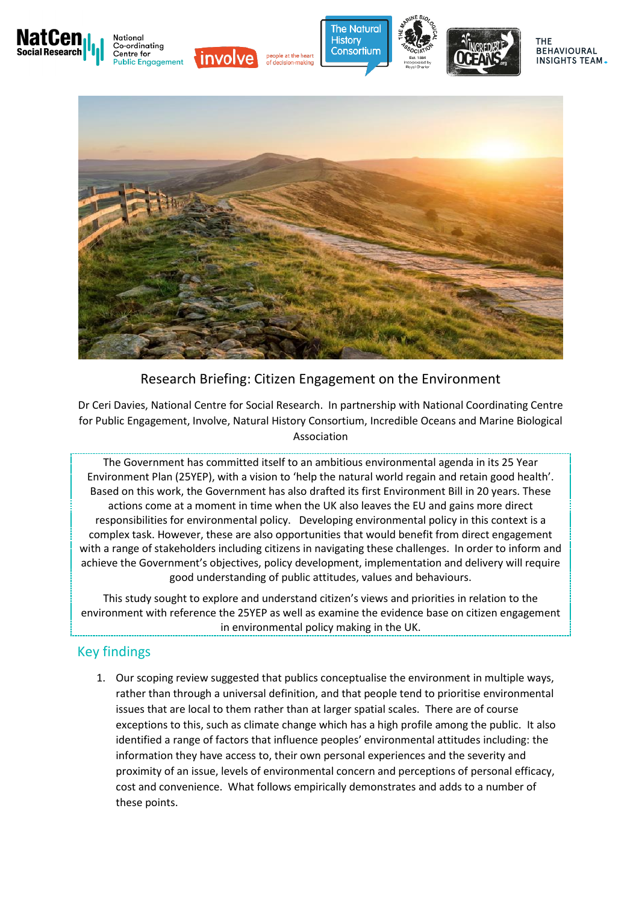



### Research Briefing: Citizen Engagement on the Environment

Dr Ceri Davies, National Centre for Social Research. In partnership with National Coordinating Centre for Public Engagement, Involve, Natural History Consortium, Incredible Oceans and Marine Biological Association

The Government has committed itself to an ambitious environmental agenda in its 25 Year Environment Plan (25YEP), with a vision to 'help the natural world regain and retain good health'. Based on this work, the Government has also drafted its first Environment Bill in 20 years. These actions come at a moment in time when the UK also leaves the EU and gains more direct responsibilities for environmental policy. Developing environmental policy in this context is a complex task. However, these are also opportunities that would benefit from direct engagement with a range of stakeholders including citizens in navigating these challenges. In order to inform and achieve the Government's objectives, policy development, implementation and delivery will require good understanding of public attitudes, values and behaviours.

This study sought to explore and understand citizen's views and priorities in relation to the environment with reference the 25YEP as well as examine the evidence base on citizen engagement in environmental policy making in the UK.

# Key findings

1. Our scoping review suggested that publics conceptualise the environment in multiple ways, rather than through a universal definition, and that people tend to prioritise environmental issues that are local to them rather than at larger spatial scales. There are of course exceptions to this, such as climate change which has a high profile among the public. It also identified a range of factors that influence peoples' environmental attitudes including: the information they have access to, their own personal experiences and the severity and proximity of an issue, levels of environmental concern and perceptions of personal efficacy, cost and convenience. What follows empirically demonstrates and adds to a number of these points.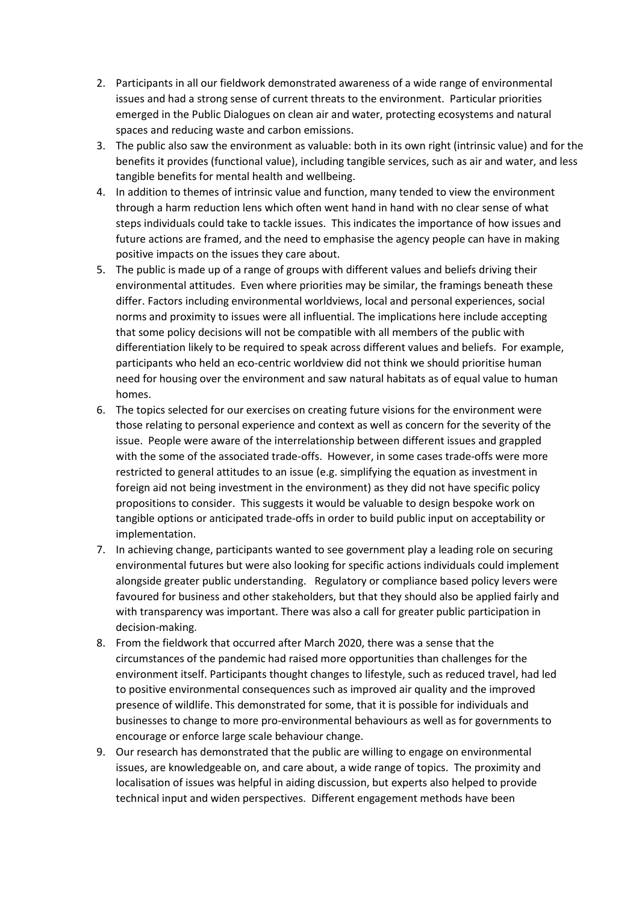- 2. Participants in all our fieldwork demonstrated awareness of a wide range of environmental issues and had a strong sense of current threats to the environment. Particular priorities emerged in the Public Dialogues on clean air and water, protecting ecosystems and natural spaces and reducing waste and carbon emissions.
- 3. The public also saw the environment as valuable: both in its own right (intrinsic value) and for the benefits it provides (functional value), including tangible services, such as air and water, and less tangible benefits for mental health and wellbeing.
- 4. In addition to themes of intrinsic value and function, many tended to view the environment through a harm reduction lens which often went hand in hand with no clear sense of what steps individuals could take to tackle issues. This indicates the importance of how issues and future actions are framed, and the need to emphasise the agency people can have in making positive impacts on the issues they care about.
- 5. The public is made up of a range of groups with different values and beliefs driving their environmental attitudes. Even where priorities may be similar, the framings beneath these differ. Factors including environmental worldviews, local and personal experiences, social norms and proximity to issues were all influential. The implications here include accepting that some policy decisions will not be compatible with all members of the public with differentiation likely to be required to speak across different values and beliefs. For example, participants who held an eco-centric worldview did not think we should prioritise human need for housing over the environment and saw natural habitats as of equal value to human homes.
- 6. The topics selected for our exercises on creating future visions for the environment were those relating to personal experience and context as well as concern for the severity of the issue. People were aware of the interrelationship between different issues and grappled with the some of the associated trade-offs. However, in some cases trade-offs were more restricted to general attitudes to an issue (e.g. simplifying the equation as investment in foreign aid not being investment in the environment) as they did not have specific policy propositions to consider. This suggests it would be valuable to design bespoke work on tangible options or anticipated trade-offs in order to build public input on acceptability or implementation.
- 7. In achieving change, participants wanted to see government play a leading role on securing environmental futures but were also looking for specific actions individuals could implement alongside greater public understanding. Regulatory or compliance based policy levers were favoured for business and other stakeholders, but that they should also be applied fairly and with transparency was important. There was also a call for greater public participation in decision-making.
- 8. From the fieldwork that occurred after March 2020, there was a sense that the circumstances of the pandemic had raised more opportunities than challenges for the environment itself. Participants thought changes to lifestyle, such as reduced travel, had led to positive environmental consequences such as improved air quality and the improved presence of wildlife. This demonstrated for some, that it is possible for individuals and businesses to change to more pro-environmental behaviours as well as for governments to encourage or enforce large scale behaviour change.
- 9. Our research has demonstrated that the public are willing to engage on environmental issues, are knowledgeable on, and care about, a wide range of topics. The proximity and localisation of issues was helpful in aiding discussion, but experts also helped to provide technical input and widen perspectives. Different engagement methods have been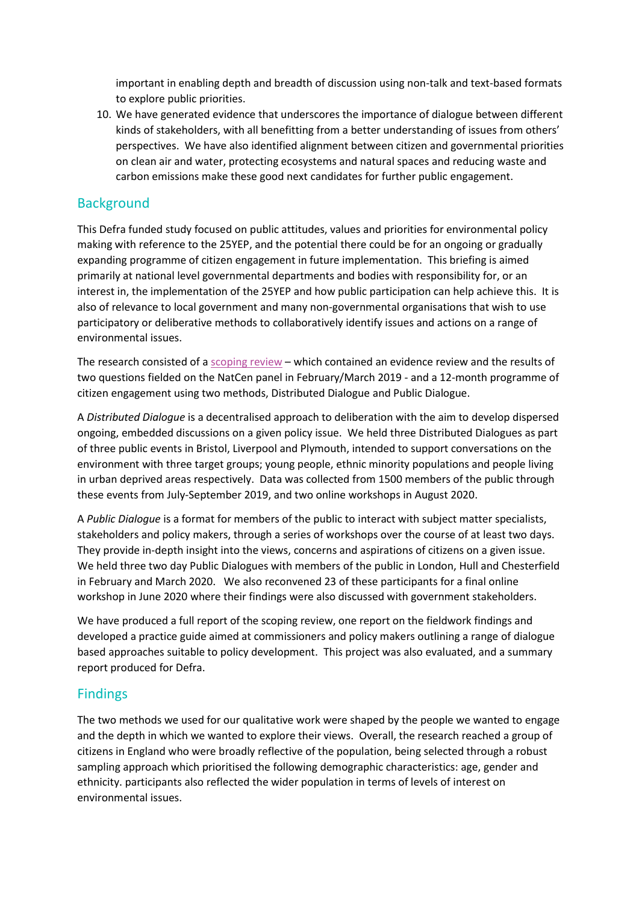important in enabling depth and breadth of discussion using non-talk and text-based formats to explore public priorities.

10. We have generated evidence that underscores the importance of dialogue between different kinds of stakeholders, with all benefitting from a better understanding of issues from others' perspectives. We have also identified alignment between citizen and governmental priorities on clean air and water, protecting ecosystems and natural spaces and reducing waste and carbon emissions make these good next candidates for further public engagement.

## **Background**

This Defra funded study focused on public attitudes, values and priorities for environmental policy making with reference to the 25YEP, and the potential there could be for an ongoing or gradually expanding programme of citizen engagement in future implementation. This briefing is aimed primarily at national level governmental departments and bodies with responsibility for, or an interest in, the implementation of the 25YEP and how public participation can help achieve this. It is also of relevance to local government and many non-governmental organisations that wish to use participatory or deliberative methods to collaboratively identify issues and actions on a range of environmental issues.

The research consisted of a [scoping review](http://sciencesearch.defra.gov.uk/Default.aspx?Module=More&Location=None&ProjectID=20061) – which contained an evidence review and the results of two questions fielded on the NatCen panel in February/March 2019 - and a 12-month programme of citizen engagement using two methods, Distributed Dialogue and Public Dialogue.

A *Distributed Dialogue* is a decentralised approach to deliberation with the aim to develop dispersed ongoing, embedded discussions on a given policy issue. We held three Distributed Dialogues as part of three public events in Bristol, Liverpool and Plymouth, intended to support conversations on the environment with three target groups; young people, ethnic minority populations and people living in urban deprived areas respectively. Data was collected from 1500 members of the public through these events from July-September 2019, and two online workshops in August 2020.

A *Public Dialogue* is a format for members of the public to interact with subject matter specialists, stakeholders and policy makers, through a series of workshops over the course of at least two days. They provide in-depth insight into the views, concerns and aspirations of citizens on a given issue. We held three two day Public Dialogues with members of the public in London, Hull and Chesterfield in February and March 2020. We also reconvened 23 of these participants for a final online workshop in June 2020 where their findings were also discussed with government stakeholders.

We have produced a full report of the scoping review, one report on the fieldwork findings and developed a practice guide aimed at commissioners and policy makers outlining a range of dialogue based approaches suitable to policy development. This project was also evaluated, and a summary report produced for Defra.

### Findings

The two methods we used for our qualitative work were shaped by the people we wanted to engage and the depth in which we wanted to explore their views. Overall, the research reached a group of citizens in England who were broadly reflective of the population, being selected through a robust sampling approach which prioritised the following demographic characteristics: age, gender and ethnicity. participants also reflected the wider population in terms of levels of interest on environmental issues.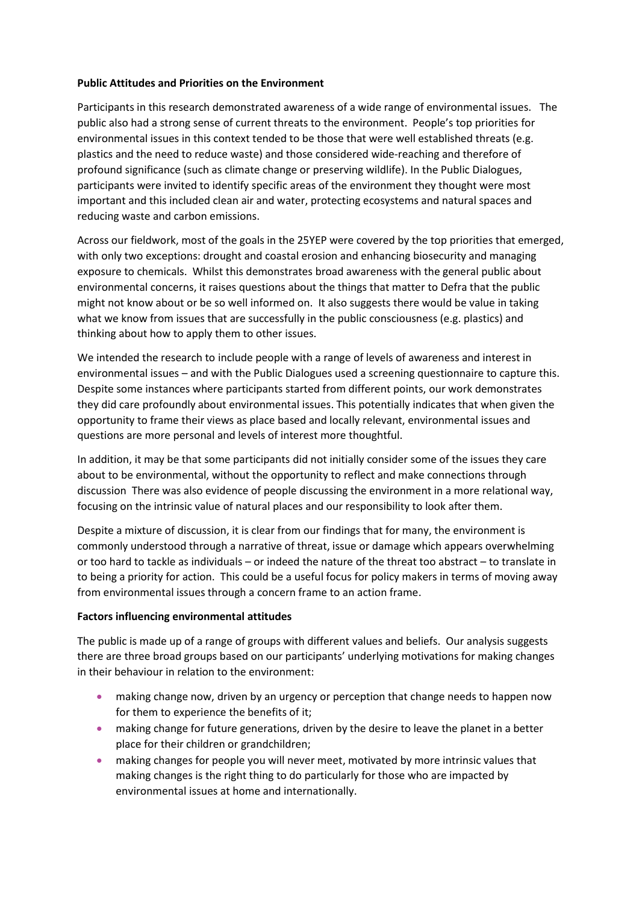#### **Public Attitudes and Priorities on the Environment**

Participants in this research demonstrated awareness of a wide range of environmental issues. The public also had a strong sense of current threats to the environment. People's top priorities for environmental issues in this context tended to be those that were well established threats (e.g. plastics and the need to reduce waste) and those considered wide-reaching and therefore of profound significance (such as climate change or preserving wildlife). In the Public Dialogues, participants were invited to identify specific areas of the environment they thought were most important and this included clean air and water, protecting ecosystems and natural spaces and reducing waste and carbon emissions.

Across our fieldwork, most of the goals in the 25YEP were covered by the top priorities that emerged, with only two exceptions: drought and coastal erosion and enhancing biosecurity and managing exposure to chemicals. Whilst this demonstrates broad awareness with the general public about environmental concerns, it raises questions about the things that matter to Defra that the public might not know about or be so well informed on. It also suggests there would be value in taking what we know from issues that are successfully in the public consciousness (e.g. plastics) and thinking about how to apply them to other issues.

We intended the research to include people with a range of levels of awareness and interest in environmental issues – and with the Public Dialogues used a screening questionnaire to capture this. Despite some instances where participants started from different points, our work demonstrates they did care profoundly about environmental issues. This potentially indicates that when given the opportunity to frame their views as place based and locally relevant, environmental issues and questions are more personal and levels of interest more thoughtful.

In addition, it may be that some participants did not initially consider some of the issues they care about to be environmental, without the opportunity to reflect and make connections through discussion There was also evidence of people discussing the environment in a more relational way, focusing on the intrinsic value of natural places and our responsibility to look after them.

Despite a mixture of discussion, it is clear from our findings that for many, the environment is commonly understood through a narrative of threat, issue or damage which appears overwhelming or too hard to tackle as individuals – or indeed the nature of the threat too abstract – to translate in to being a priority for action. This could be a useful focus for policy makers in terms of moving away from environmental issues through a concern frame to an action frame.

### **Factors influencing environmental attitudes**

The public is made up of a range of groups with different values and beliefs. Our analysis suggests there are three broad groups based on our participants' underlying motivations for making changes in their behaviour in relation to the environment:

- making change now, driven by an urgency or perception that change needs to happen now for them to experience the benefits of it;
- making change for future generations, driven by the desire to leave the planet in a better place for their children or grandchildren;
- making changes for people you will never meet, motivated by more intrinsic values that making changes is the right thing to do particularly for those who are impacted by environmental issues at home and internationally.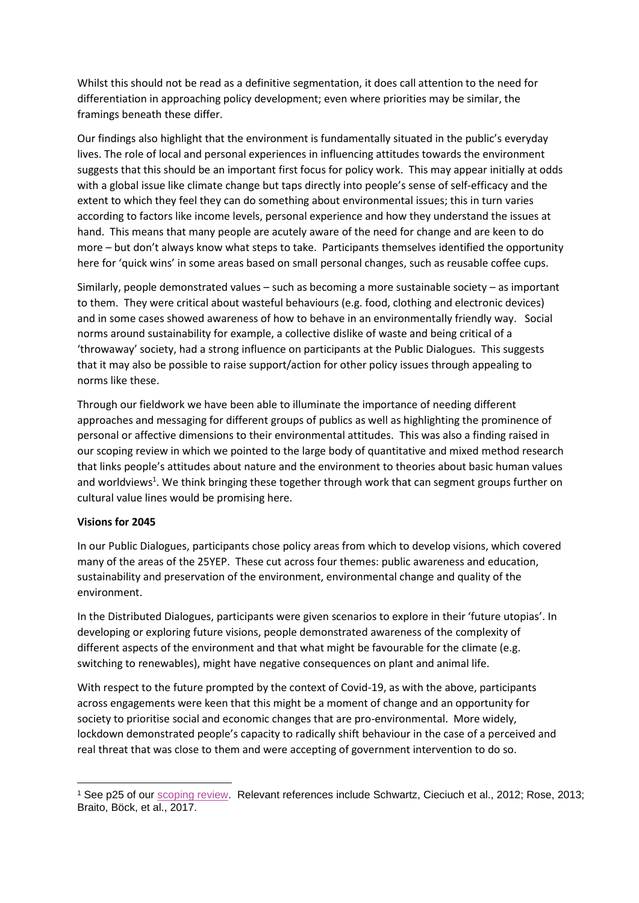Whilst this should not be read as a definitive segmentation, it does call attention to the need for differentiation in approaching policy development; even where priorities may be similar, the framings beneath these differ.

Our findings also highlight that the environment is fundamentally situated in the public's everyday lives. The role of local and personal experiences in influencing attitudes towards the environment suggests that this should be an important first focus for policy work. This may appear initially at odds with a global issue like climate change but taps directly into people's sense of self-efficacy and the extent to which they feel they can do something about environmental issues; this in turn varies according to factors like income levels, personal experience and how they understand the issues at hand. This means that many people are acutely aware of the need for change and are keen to do more – but don't always know what steps to take. Participants themselves identified the opportunity here for 'quick wins' in some areas based on small personal changes, such as reusable coffee cups.

Similarly, people demonstrated values – such as becoming a more sustainable society – as important to them. They were critical about wasteful behaviours (e.g. food, clothing and electronic devices) and in some cases showed awareness of how to behave in an environmentally friendly way. Social norms around sustainability for example, a collective dislike of waste and being critical of a 'throwaway' society, had a strong influence on participants at the Public Dialogues. This suggests that it may also be possible to raise support/action for other policy issues through appealing to norms like these.

Through our fieldwork we have been able to illuminate the importance of needing different approaches and messaging for different groups of publics as well as highlighting the prominence of personal or affective dimensions to their environmental attitudes. This was also a finding raised in our scoping review in which we pointed to the large body of quantitative and mixed method research that links people's attitudes about nature and the environment to theories about basic human values and worldviews<sup>1</sup>. We think bringing these together through work that can segment groups further on cultural value lines would be promising here.

#### **Visions for 2045**

In our Public Dialogues, participants chose policy areas from which to develop visions, which covered many of the areas of the 25YEP. These cut across four themes: public awareness and education, sustainability and preservation of the environment, environmental change and quality of the environment.

In the Distributed Dialogues, participants were given scenarios to explore in their 'future utopias'. In developing or exploring future visions, people demonstrated awareness of the complexity of different aspects of the environment and that what might be favourable for the climate (e.g. switching to renewables), might have negative consequences on plant and animal life.

With respect to the future prompted by the context of Covid-19, as with the above, participants across engagements were keen that this might be a moment of change and an opportunity for society to prioritise social and economic changes that are pro-environmental. More widely, lockdown demonstrated people's capacity to radically shift behaviour in the case of a perceived and real threat that was close to them and were accepting of government intervention to do so.

<sup>1</sup> See p25 of our [scoping review.](http://sciencesearch.defra.gov.uk/Default.aspx?Module=More&Location=None&ProjectID=20061) Relevant references include Schwartz, Cieciuch et al., 2012; Rose, 2013; Braito, Böck, et al., 2017.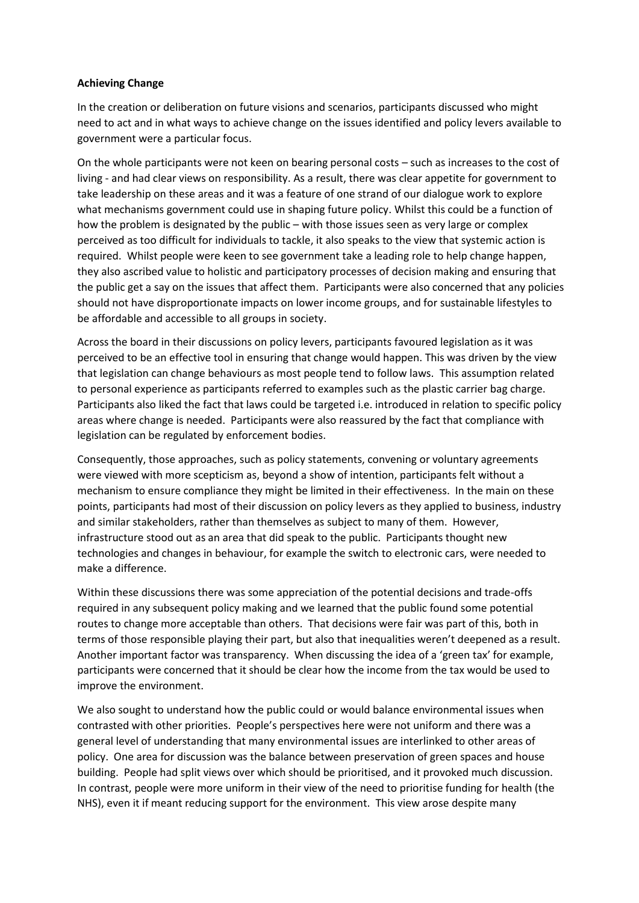#### **Achieving Change**

In the creation or deliberation on future visions and scenarios, participants discussed who might need to act and in what ways to achieve change on the issues identified and policy levers available to government were a particular focus.

On the whole participants were not keen on bearing personal costs – such as increases to the cost of living - and had clear views on responsibility. As a result, there was clear appetite for government to take leadership on these areas and it was a feature of one strand of our dialogue work to explore what mechanisms government could use in shaping future policy. Whilst this could be a function of how the problem is designated by the public – with those issues seen as very large or complex perceived as too difficult for individuals to tackle, it also speaks to the view that systemic action is required. Whilst people were keen to see government take a leading role to help change happen, they also ascribed value to holistic and participatory processes of decision making and ensuring that the public get a say on the issues that affect them. Participants were also concerned that any policies should not have disproportionate impacts on lower income groups, and for sustainable lifestyles to be affordable and accessible to all groups in society.

Across the board in their discussions on policy levers, participants favoured legislation as it was perceived to be an effective tool in ensuring that change would happen. This was driven by the view that legislation can change behaviours as most people tend to follow laws. This assumption related to personal experience as participants referred to examples such as the plastic carrier bag charge. Participants also liked the fact that laws could be targeted i.e. introduced in relation to specific policy areas where change is needed. Participants were also reassured by the fact that compliance with legislation can be regulated by enforcement bodies.

Consequently, those approaches, such as policy statements, convening or voluntary agreements were viewed with more scepticism as, beyond a show of intention, participants felt without a mechanism to ensure compliance they might be limited in their effectiveness. In the main on these points, participants had most of their discussion on policy levers as they applied to business, industry and similar stakeholders, rather than themselves as subject to many of them. However, infrastructure stood out as an area that did speak to the public. Participants thought new technologies and changes in behaviour, for example the switch to electronic cars, were needed to make a difference.

Within these discussions there was some appreciation of the potential decisions and trade-offs required in any subsequent policy making and we learned that the public found some potential routes to change more acceptable than others. That decisions were fair was part of this, both in terms of those responsible playing their part, but also that inequalities weren't deepened as a result. Another important factor was transparency. When discussing the idea of a 'green tax' for example, participants were concerned that it should be clear how the income from the tax would be used to improve the environment.

We also sought to understand how the public could or would balance environmental issues when contrasted with other priorities. People's perspectives here were not uniform and there was a general level of understanding that many environmental issues are interlinked to other areas of policy. One area for discussion was the balance between preservation of green spaces and house building. People had split views over which should be prioritised, and it provoked much discussion. In contrast, people were more uniform in their view of the need to prioritise funding for health (the NHS), even it if meant reducing support for the environment. This view arose despite many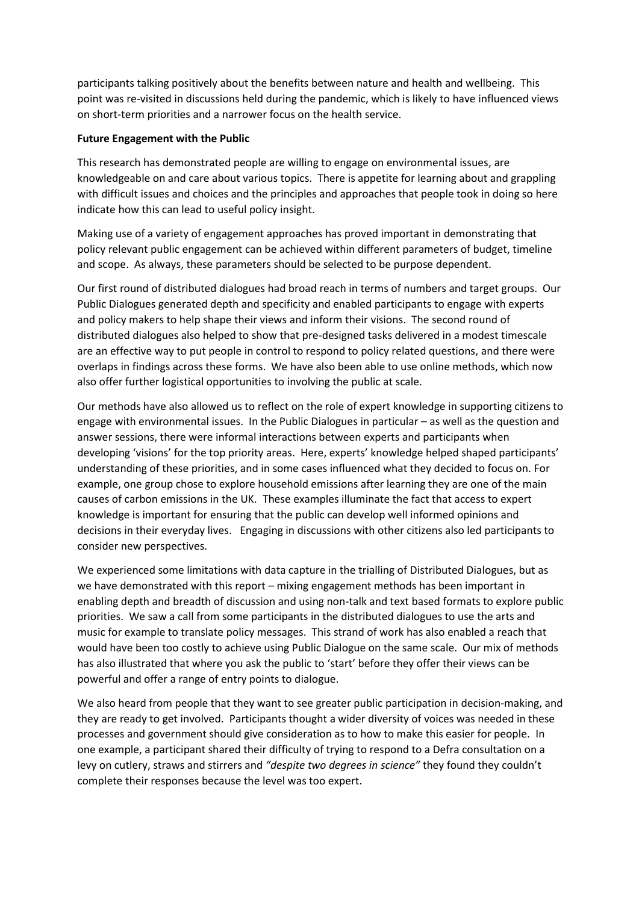participants talking positively about the benefits between nature and health and wellbeing. This point was re-visited in discussions held during the pandemic, which is likely to have influenced views on short-term priorities and a narrower focus on the health service.

#### **Future Engagement with the Public**

This research has demonstrated people are willing to engage on environmental issues, are knowledgeable on and care about various topics. There is appetite for learning about and grappling with difficult issues and choices and the principles and approaches that people took in doing so here indicate how this can lead to useful policy insight.

Making use of a variety of engagement approaches has proved important in demonstrating that policy relevant public engagement can be achieved within different parameters of budget, timeline and scope. As always, these parameters should be selected to be purpose dependent.

Our first round of distributed dialogues had broad reach in terms of numbers and target groups. Our Public Dialogues generated depth and specificity and enabled participants to engage with experts and policy makers to help shape their views and inform their visions. The second round of distributed dialogues also helped to show that pre-designed tasks delivered in a modest timescale are an effective way to put people in control to respond to policy related questions, and there were overlaps in findings across these forms. We have also been able to use online methods, which now also offer further logistical opportunities to involving the public at scale.

Our methods have also allowed us to reflect on the role of expert knowledge in supporting citizens to engage with environmental issues. In the Public Dialogues in particular – as well as the question and answer sessions, there were informal interactions between experts and participants when developing 'visions' for the top priority areas. Here, experts' knowledge helped shaped participants' understanding of these priorities, and in some cases influenced what they decided to focus on. For example, one group chose to explore household emissions after learning they are one of the main causes of carbon emissions in the UK. These examples illuminate the fact that access to expert knowledge is important for ensuring that the public can develop well informed opinions and decisions in their everyday lives. Engaging in discussions with other citizens also led participants to consider new perspectives.

We experienced some limitations with data capture in the trialling of Distributed Dialogues, but as we have demonstrated with this report – mixing engagement methods has been important in enabling depth and breadth of discussion and using non-talk and text based formats to explore public priorities. We saw a call from some participants in the distributed dialogues to use the arts and music for example to translate policy messages. This strand of work has also enabled a reach that would have been too costly to achieve using Public Dialogue on the same scale. Our mix of methods has also illustrated that where you ask the public to 'start' before they offer their views can be powerful and offer a range of entry points to dialogue.

We also heard from people that they want to see greater public participation in decision-making, and they are ready to get involved. Participants thought a wider diversity of voices was needed in these processes and government should give consideration as to how to make this easier for people. In one example, a participant shared their difficulty of trying to respond to a Defra consultation on a levy on cutlery, straws and stirrers and *"despite two degrees in science"* they found they couldn't complete their responses because the level was too expert.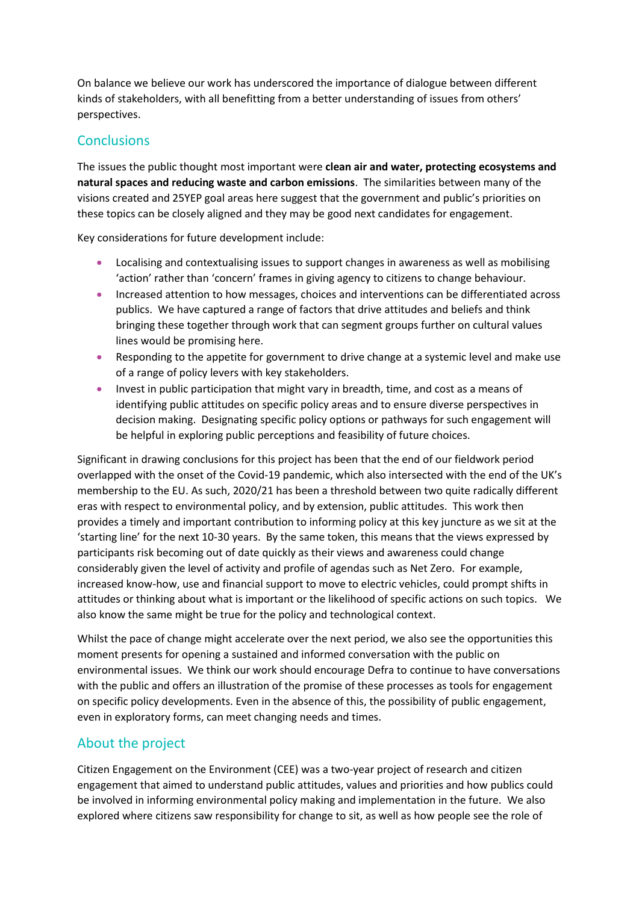On balance we believe our work has underscored the importance of dialogue between different kinds of stakeholders, with all benefitting from a better understanding of issues from others' perspectives.

## **Conclusions**

The issues the public thought most important were **clean air and water, protecting ecosystems and natural spaces and reducing waste and carbon emissions**. The similarities between many of the visions created and 25YEP goal areas here suggest that the government and public's priorities on these topics can be closely aligned and they may be good next candidates for engagement.

Key considerations for future development include:

- Localising and contextualising issues to support changes in awareness as well as mobilising 'action' rather than 'concern' frames in giving agency to citizens to change behaviour.
- Increased attention to how messages, choices and interventions can be differentiated across publics. We have captured a range of factors that drive attitudes and beliefs and think bringing these together through work that can segment groups further on cultural values lines would be promising here.
- Responding to the appetite for government to drive change at a systemic level and make use of a range of policy levers with key stakeholders.
- Invest in public participation that might vary in breadth, time, and cost as a means of identifying public attitudes on specific policy areas and to ensure diverse perspectives in decision making. Designating specific policy options or pathways for such engagement will be helpful in exploring public perceptions and feasibility of future choices.

Significant in drawing conclusions for this project has been that the end of our fieldwork period overlapped with the onset of the Covid-19 pandemic, which also intersected with the end of the UK's membership to the EU. As such, 2020/21 has been a threshold between two quite radically different eras with respect to environmental policy, and by extension, public attitudes. This work then provides a timely and important contribution to informing policy at this key juncture as we sit at the 'starting line' for the next 10-30 years. By the same token, this means that the views expressed by participants risk becoming out of date quickly as their views and awareness could change considerably given the level of activity and profile of agendas such as Net Zero. For example, increased know-how, use and financial support to move to electric vehicles, could prompt shifts in attitudes or thinking about what is important or the likelihood of specific actions on such topics. We also know the same might be true for the policy and technological context.

Whilst the pace of change might accelerate over the next period, we also see the opportunities this moment presents for opening a sustained and informed conversation with the public on environmental issues. We think our work should encourage Defra to continue to have conversations with the public and offers an illustration of the promise of these processes as tools for engagement on specific policy developments. Even in the absence of this, the possibility of public engagement, even in exploratory forms, can meet changing needs and times.

# About the project

Citizen Engagement on the Environment (CEE) was a two-year project of research and citizen engagement that aimed to understand public attitudes, values and priorities and how publics could be involved in informing environmental policy making and implementation in the future. We also explored where citizens saw responsibility for change to sit, as well as how people see the role of